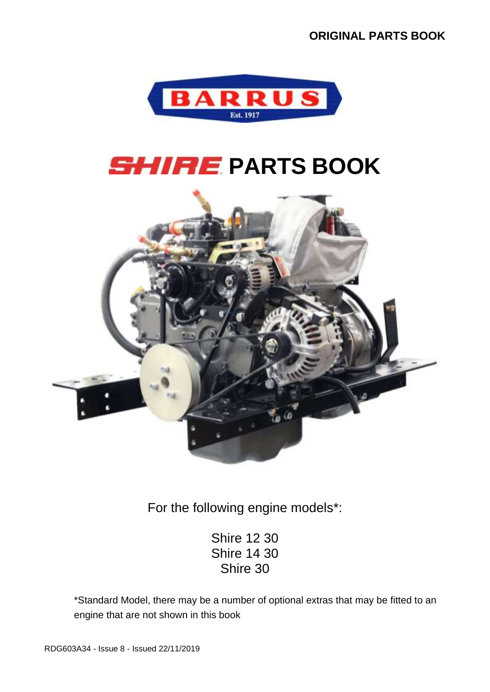

# **SHIRE PARTS BOOK**



For the following engine models\*:

Shire 12 30 Shire 14 30 Shire 30

\*Standard Model, there may be a number of optional extras that may be fitted to an engine that are not shown in this book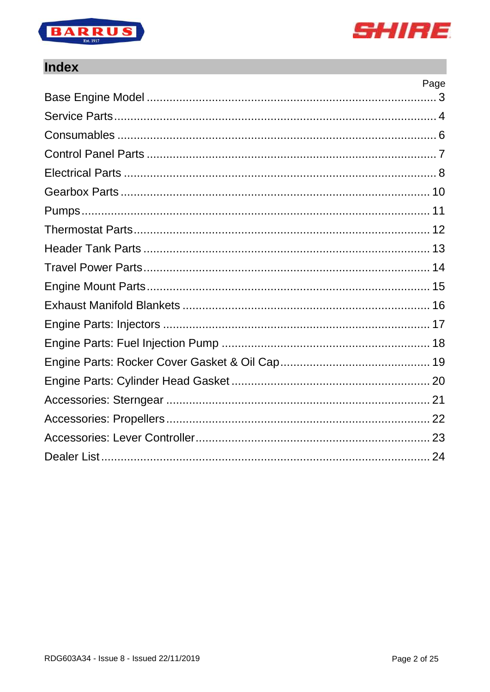



 $\overline{a}$ 

#### **Index**

| Page |
|------|
|      |
|      |
|      |
|      |
|      |
|      |
|      |
|      |
|      |
|      |
|      |
|      |
|      |
|      |
|      |
|      |
|      |
|      |
|      |
|      |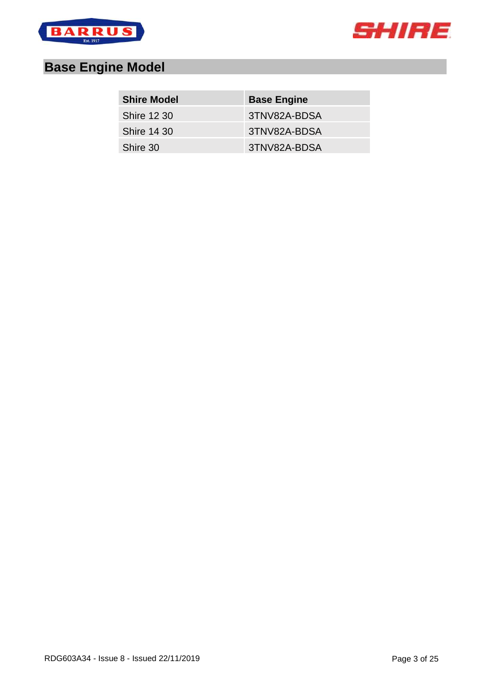



# <span id="page-2-0"></span>**Base Engine Model**

| <b>Shire Model</b> | <b>Base Engine</b> |
|--------------------|--------------------|
| <b>Shire 12 30</b> | 3TNV82A-BDSA       |
| <b>Shire 14 30</b> | 3TNV82A-BDSA       |
| Shire 30           | 3TNV82A-BDSA       |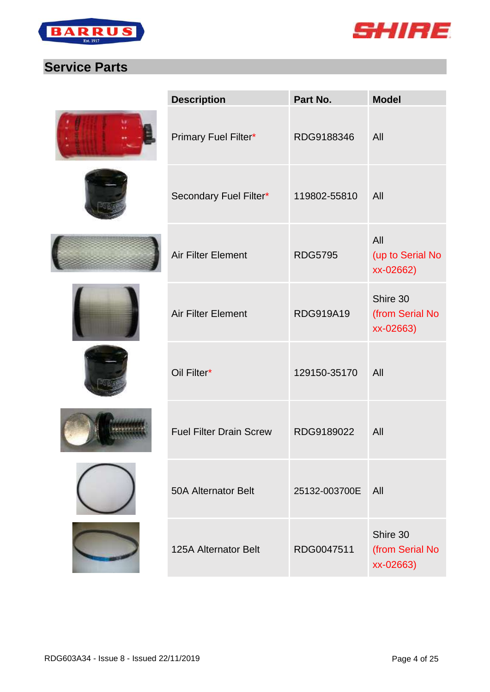



## <span id="page-3-0"></span>**Service Parts**

| <b>Description</b>             | Part No.       | <b>Model</b>                             |
|--------------------------------|----------------|------------------------------------------|
| Primary Fuel Filter*           | RDG9188346     | All                                      |
| Secondary Fuel Filter*         | 119802-55810   | All                                      |
| <b>Air Filter Element</b>      | <b>RDG5795</b> | All<br>(up to Serial No<br>xx-02662)     |
| <b>Air Filter Element</b>      | RDG919A19      | Shire 30<br>(from Serial No<br>xx-02663) |
| Oil Filter*                    | 129150-35170   | All                                      |
| <b>Fuel Filter Drain Screw</b> | RDG9189022     | All                                      |
| <b>50A Alternator Belt</b>     | 25132-003700E  | All                                      |
| <b>125A Alternator Belt</b>    | RDG0047511     | Shire 30<br>(from Serial No<br>xx-02663) |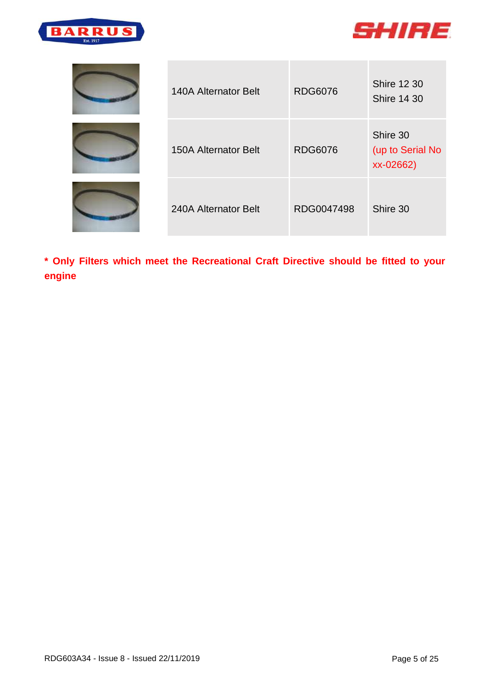



| <b>140A Alternator Belt</b> | <b>RDG6076</b> | <b>Shire 12 30</b><br><b>Shire 14 30</b>  |
|-----------------------------|----------------|-------------------------------------------|
| <b>150A Alternator Belt</b> | <b>RDG6076</b> | Shire 30<br>(up to Serial No<br>xx-02662) |
| 240A Alternator Belt        | RDG0047498     | Shire 30                                  |

**\* Only Filters which meet the Recreational Craft Directive should be fitted to your engine**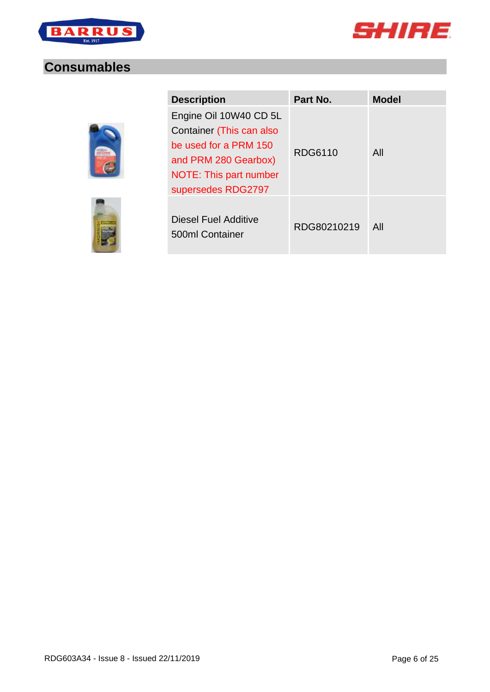



#### <span id="page-5-0"></span>**Consumables**



| <b>Description</b>                                                                                                                                  | Part No.    | <b>Model</b> |
|-----------------------------------------------------------------------------------------------------------------------------------------------------|-------------|--------------|
| Engine Oil 10W40 CD 5L<br>Container (This can also<br>be used for a PRM 150<br>and PRM 280 Gearbox)<br>NOTE: This part number<br>supersedes RDG2797 | RDG6110     | All          |
| Diesel Fuel Additive<br>500ml Container                                                                                                             | RDG80210219 | All          |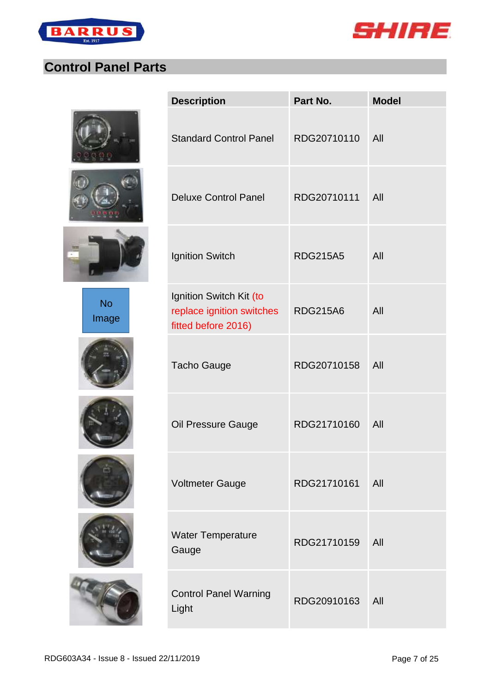



## <span id="page-6-0"></span>**Control Panel Parts**







No Image











| Part No.        | <b>Model</b> |
|-----------------|--------------|
| RDG20710110     | All          |
| RDG20710111     | All          |
| <b>RDG215A5</b> | All          |
| <b>RDG215A6</b> | All          |
| RDG20710158     | All          |
| RDG21710160     | All          |
| RDG21710161     | All          |
| RDG21710159     | All          |
| RDG20910163     | All          |
|                 |              |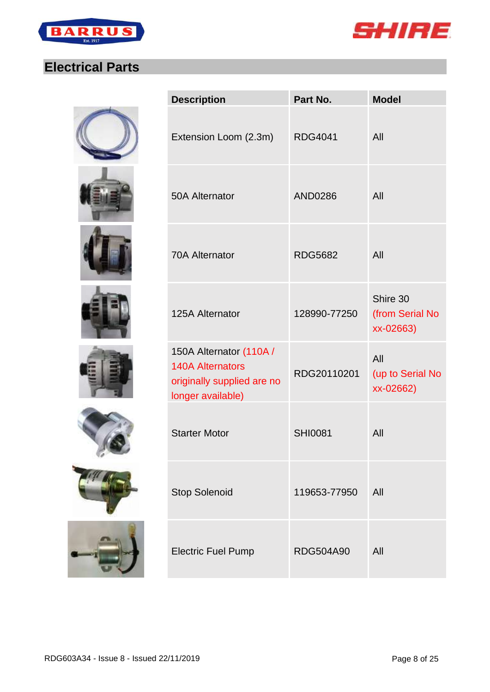



## <span id="page-7-0"></span>**Electrical Parts**

















| <b>Description</b>                                                                                    | Part No.         | <b>Model</b>                             |
|-------------------------------------------------------------------------------------------------------|------------------|------------------------------------------|
| Extension Loom (2.3m)                                                                                 | <b>RDG4041</b>   | All                                      |
| 50A Alternator                                                                                        | <b>AND0286</b>   | All                                      |
| <b>70A Alternator</b>                                                                                 | <b>RDG5682</b>   | All                                      |
| 125A Alternator                                                                                       | 128990-77250     | Shire 30<br>(from Serial No<br>xx-02663) |
| 150A Alternator (110A /<br><b>140A Alternators</b><br>originally supplied are no<br>longer available) | RDG20110201      | All<br>(up to Serial No<br>xx-02662)     |
| <b>Starter Motor</b>                                                                                  | <b>SHI0081</b>   | All                                      |
| <b>Stop Solenoid</b>                                                                                  | 119653-77950     | All                                      |
| <b>Electric Fuel Pump</b>                                                                             | <b>RDG504A90</b> | All                                      |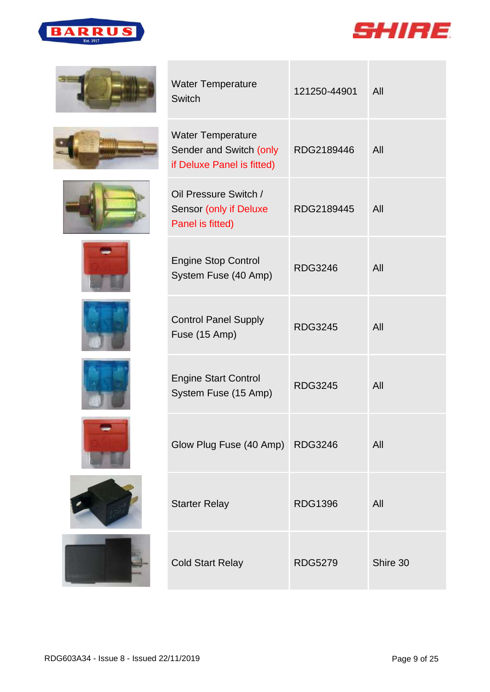



















| <b>Water Temperature</b><br><b>Switch</b>                                         | 121250-44901   | All      |
|-----------------------------------------------------------------------------------|----------------|----------|
| <b>Water Temperature</b><br>Sender and Switch (only<br>if Deluxe Panel is fitted) | RDG2189446     | All      |
| Oil Pressure Switch /<br>Sensor (only if Deluxe<br>Panel is fitted)               | RDG2189445     | All      |
| <b>Engine Stop Control</b><br>System Fuse (40 Amp)                                | <b>RDG3246</b> | All      |
| <b>Control Panel Supply</b><br>Fuse (15 Amp)                                      | <b>RDG3245</b> | All      |
| <b>Engine Start Control</b><br>System Fuse (15 Amp)                               | <b>RDG3245</b> | All      |
| Glow Plug Fuse (40 Amp) RDG3246                                                   |                | All      |
| <b>Starter Relay</b>                                                              | <b>RDG1396</b> | All      |
| <b>Cold Start Relay</b>                                                           | RDG5279        | Shire 30 |



 $\mathcal{L}_{\mathcal{A}}$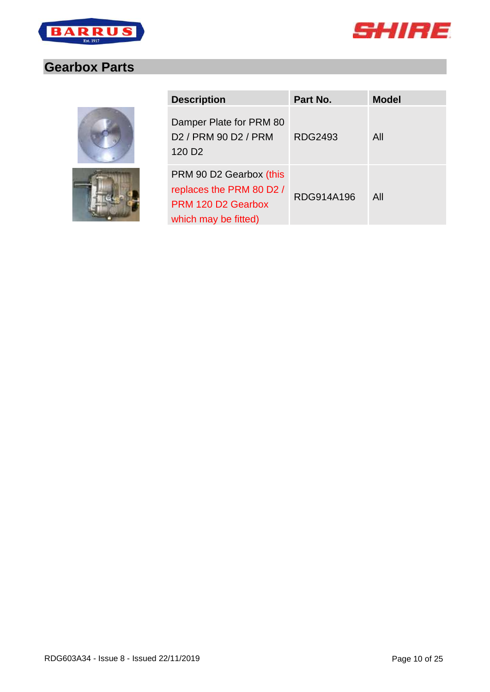



## <span id="page-9-0"></span>**Gearbox Parts**



| <b>Description</b>                                                                                | Part No.   | <b>Model</b> |
|---------------------------------------------------------------------------------------------------|------------|--------------|
| Damper Plate for PRM 80<br>D <sub>2</sub> / PRM 90 D <sub>2</sub> / PRM<br>120 D <sub>2</sub>     | RDG2493    | All          |
| PRM 90 D2 Gearbox (this<br>replaces the PRM 80 D2 /<br>PRM 120 D2 Gearbox<br>which may be fitted) | RDG914A196 | All          |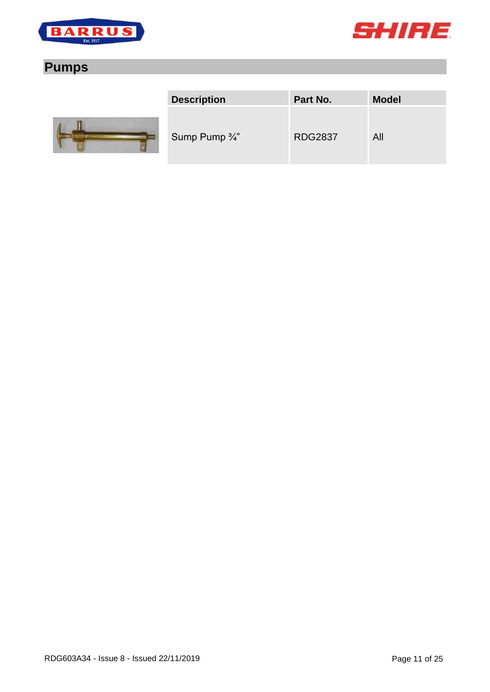



## <span id="page-10-0"></span>**Pumps**



| <b>Description</b>        | Part No.       | <b>Model</b> |
|---------------------------|----------------|--------------|
| Sump Pump $\frac{3}{4}$ " | <b>RDG2837</b> | All          |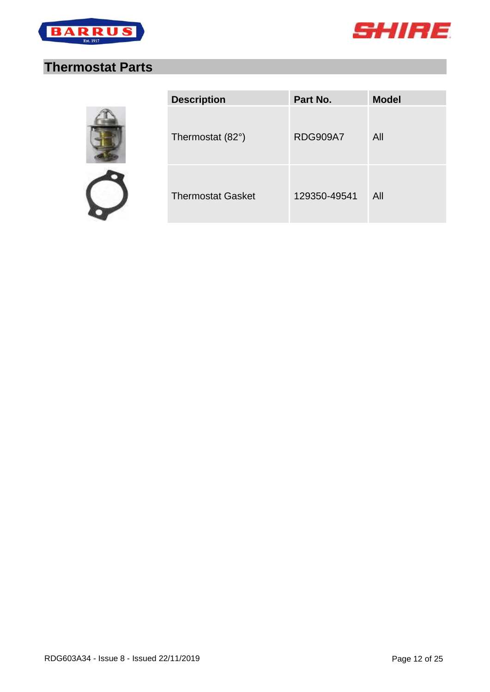



## <span id="page-11-0"></span>**Thermostat Parts**



| <b>Description</b>       | Part No.        | <b>Model</b> |
|--------------------------|-----------------|--------------|
| Thermostat (82°)         | <b>RDG909A7</b> | All          |
| <b>Thermostat Gasket</b> | 129350-49541    | All          |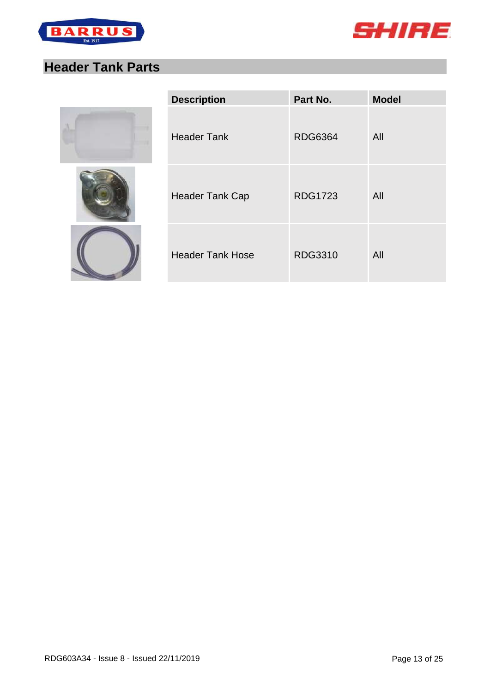



## <span id="page-12-0"></span>**Header Tank Parts**







| <b>Description</b>      | Part No.       | <b>Model</b> |
|-------------------------|----------------|--------------|
| <b>Header Tank</b>      | <b>RDG6364</b> | All          |
| <b>Header Tank Cap</b>  | <b>RDG1723</b> | All          |
| <b>Header Tank Hose</b> | <b>RDG3310</b> | All          |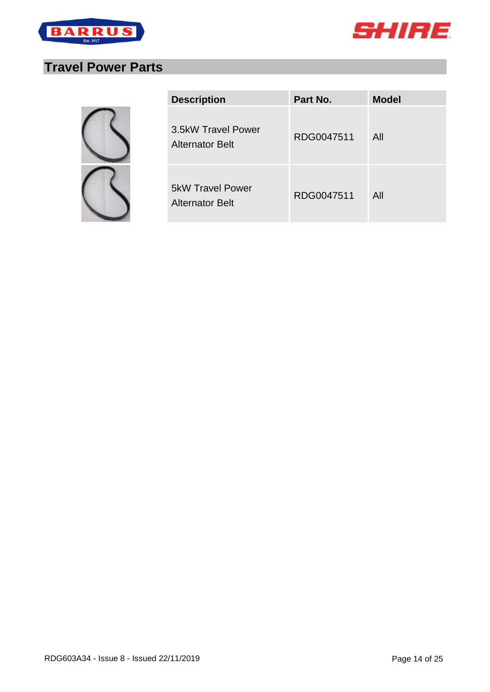



## <span id="page-13-0"></span>**Travel Power Parts**

| <b>Description</b>                                | Part No.   | <b>Model</b> |
|---------------------------------------------------|------------|--------------|
| 3.5kW Travel Power<br><b>Alternator Belt</b>      | RDG0047511 | All          |
| <b>5kW Travel Power</b><br><b>Alternator Belt</b> | RDG0047511 | All          |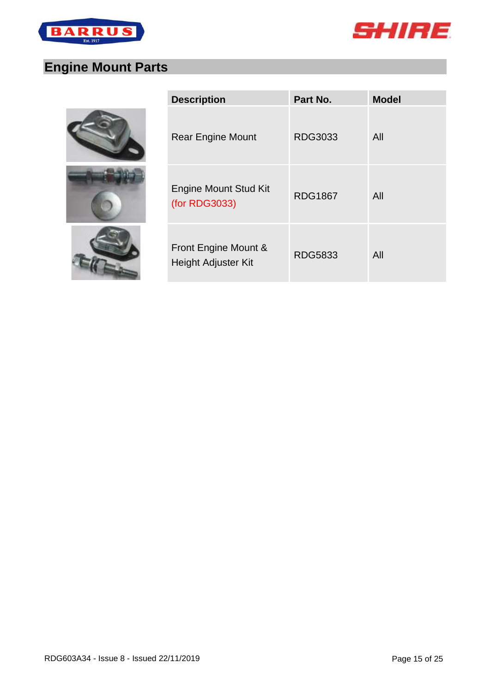



# <span id="page-14-0"></span>**Engine Mount Parts**

| <b>Description</b>                            | Part No.       | <b>Model</b> |
|-----------------------------------------------|----------------|--------------|
| <b>Rear Engine Mount</b>                      | RDG3033        | All          |
| <b>Engine Mount Stud Kit</b><br>(for RDG3033) | <b>RDG1867</b> | All          |
| Front Engine Mount &<br>Height Adjuster Kit   | <b>RDG5833</b> | All          |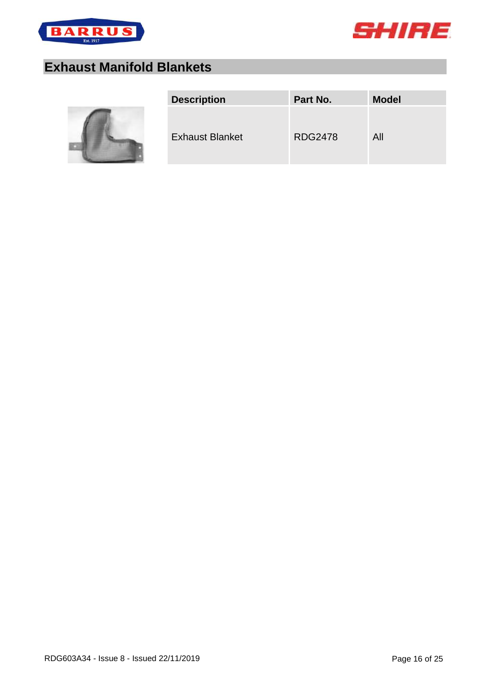



## <span id="page-15-0"></span>**Exhaust Manifold Blankets**



| <b>Description</b><br>Part No.           | <b>Model</b> |
|------------------------------------------|--------------|
| <b>RDG2478</b><br><b>Exhaust Blanket</b> | All          |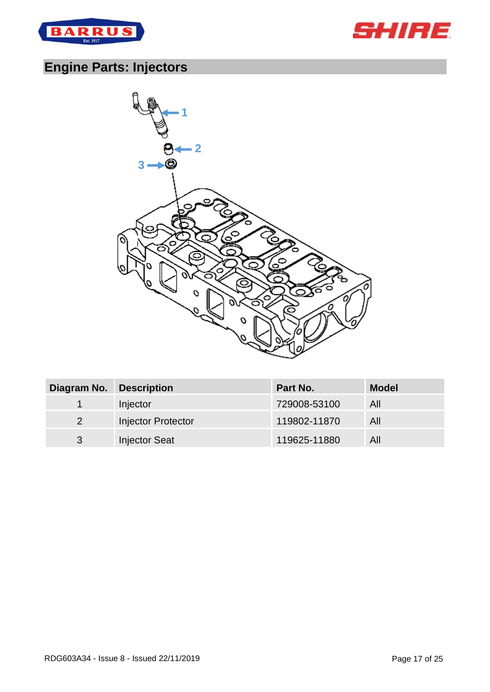



## <span id="page-16-0"></span>**Engine Parts: Injectors**



| Diagram No. | <b>Description</b>        | <b>Part No.</b> | <b>Model</b> |
|-------------|---------------------------|-----------------|--------------|
|             | Injector                  | 729008-53100    | All          |
| 2           | <b>Injector Protector</b> | 119802-11870    | All          |
| 3           | <b>Injector Seat</b>      | 119625-11880    | All          |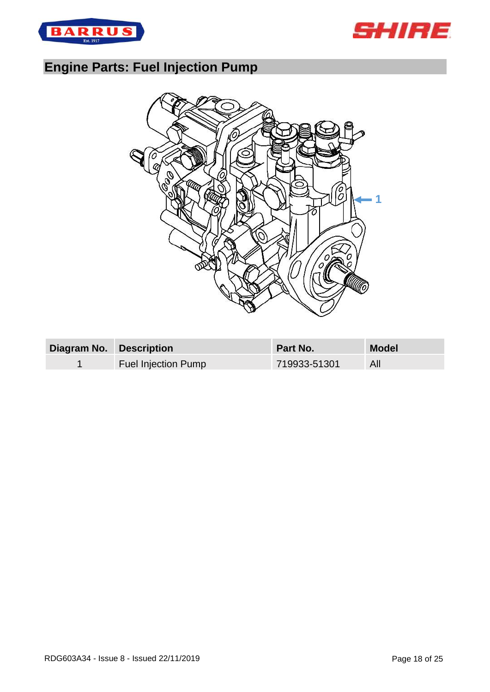



## <span id="page-17-0"></span>**Engine Parts: Fuel Injection Pump**



| Diagram No. Description |                            | <b>Part No.</b> | <b>Model</b> |
|-------------------------|----------------------------|-----------------|--------------|
|                         | <b>Fuel Injection Pump</b> | 719933-51301    | All          |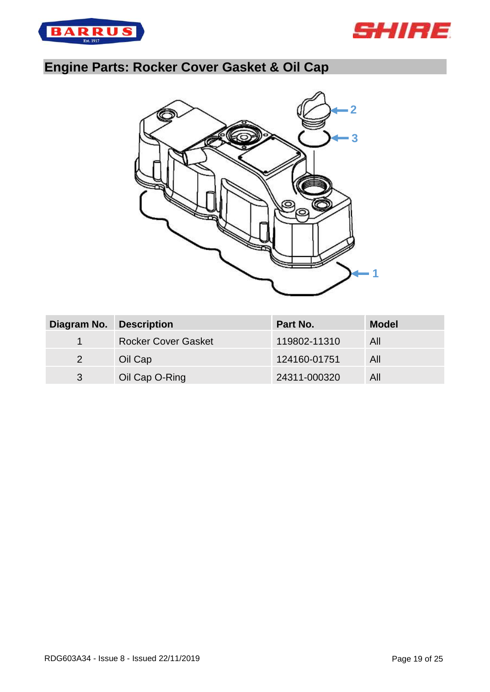



# <span id="page-18-0"></span>**Engine Parts: Rocker Cover Gasket & Oil Cap**



| Diagram No.          | <b>Description</b>         | Part No.     | <b>Model</b> |
|----------------------|----------------------------|--------------|--------------|
| $\blacktriangleleft$ | <b>Rocker Cover Gasket</b> | 119802-11310 | All          |
| $\overline{2}$       | Oil Cap                    | 124160-01751 | All          |
| 3                    | Oil Cap O-Ring             | 24311-000320 | All          |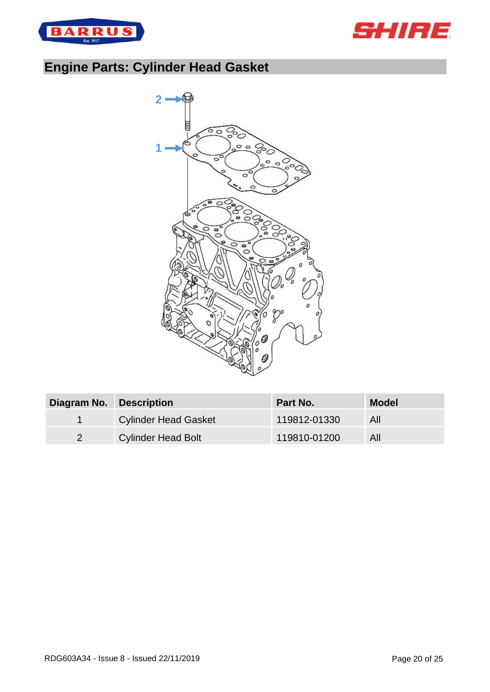



# <span id="page-19-0"></span>**Engine Parts: Cylinder Head Gasket**



| Diagram No. Description |                             | Part No.     | <b>Model</b> |
|-------------------------|-----------------------------|--------------|--------------|
|                         | <b>Cylinder Head Gasket</b> | 119812-01330 | All          |
|                         | <b>Cylinder Head Bolt</b>   | 119810-01200 | All          |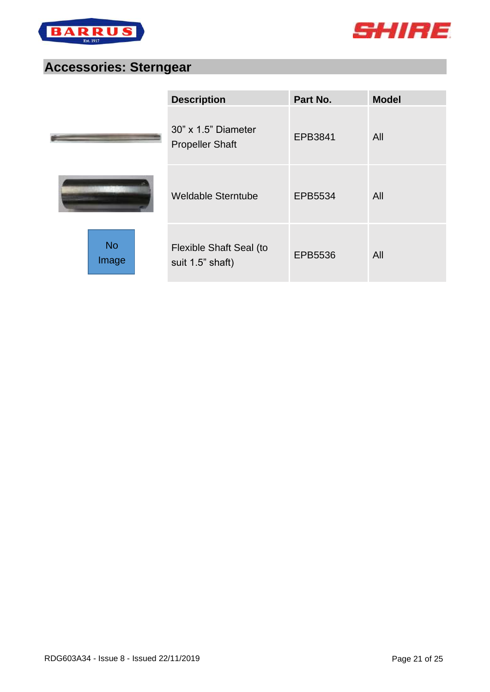



### <span id="page-20-0"></span>**Accessories: Sterngear**

|                    | <b>Description</b>                            | Part No. | <b>Model</b> |
|--------------------|-----------------------------------------------|----------|--------------|
|                    | 30" x 1.5" Diameter<br><b>Propeller Shaft</b> | EPB3841  | All          |
|                    | <b>Weldable Sterntube</b>                     | EPB5534  | All          |
| <b>No</b><br>Image | Flexible Shaft Seal (to<br>suit 1.5" shaft)   | EPB5536  | All          |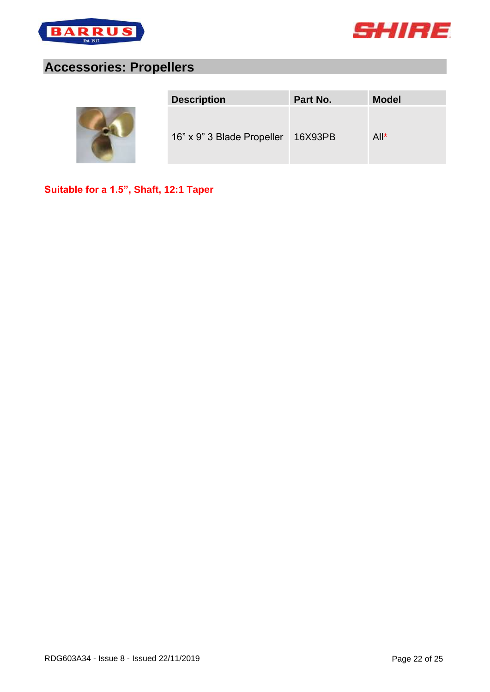



### <span id="page-21-0"></span>**Accessories: Propellers**



| <b>Description</b>                 | Part No. | <b>Model</b> |
|------------------------------------|----------|--------------|
| 16" x 9" 3 Blade Propeller 16X93PB |          | $All^*$      |

**Suitable for a 1.5", Shaft, 12:1 Taper**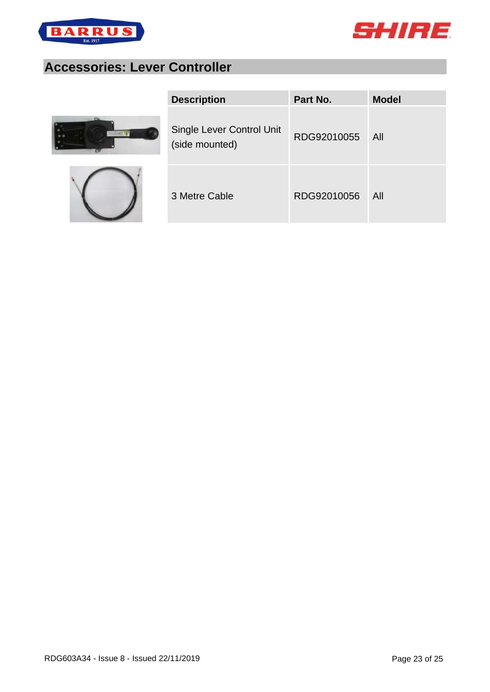



## <span id="page-22-0"></span>**Accessories: Lever Controller**





| <b>Description</b>                          | Part No.    | <b>Model</b> |
|---------------------------------------------|-------------|--------------|
| Single Lever Control Unit<br>(side mounted) | RDG92010055 | - All        |
| 3 Metre Cable                               | RDG92010056 | All          |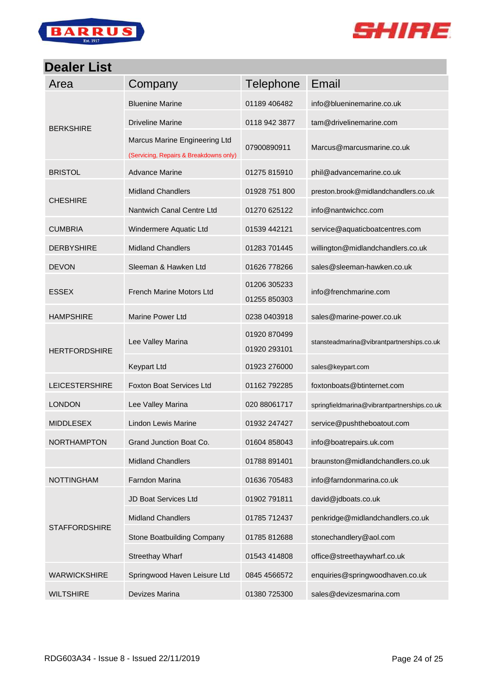



### <span id="page-23-0"></span>**Dealer List**

| Area                  | Company                                                                 | <b>Telephone</b>             | Email                                       |
|-----------------------|-------------------------------------------------------------------------|------------------------------|---------------------------------------------|
| <b>BERKSHIRE</b>      | <b>Bluenine Marine</b>                                                  | 01189 406482                 | info@blueninemarine.co.uk                   |
|                       | <b>Driveline Marine</b>                                                 | 0118 942 3877                | tam@drivelinemarine.com                     |
|                       | Marcus Marine Engineering Ltd<br>(Servicing, Repairs & Breakdowns only) | 07900890911                  | Marcus@marcusmarine.co.uk                   |
| <b>BRISTOL</b>        | <b>Advance Marine</b>                                                   | 01275 815910                 | phil@advancemarine.co.uk                    |
| <b>CHESHIRE</b>       | <b>Midland Chandlers</b>                                                | 01928 751 800                | preston.brook@midlandchandlers.co.uk        |
|                       | Nantwich Canal Centre Ltd                                               | 01270 625122                 | info@nantwichcc.com                         |
| <b>CUMBRIA</b>        | Windermere Aquatic Ltd                                                  | 01539 442121                 | service@aquaticboatcentres.com              |
| <b>DERBYSHIRE</b>     | <b>Midland Chandlers</b>                                                | 01283 701445                 | willington@midlandchandlers.co.uk           |
| <b>DEVON</b>          | Sleeman & Hawken Ltd                                                    | 01626 778266                 | sales@sleeman-hawken.co.uk                  |
| <b>ESSEX</b>          | French Marine Motors Ltd                                                | 01206 305233<br>01255 850303 | info@frenchmarine.com                       |
| <b>HAMPSHIRE</b>      | <b>Marine Power Ltd</b>                                                 | 0238 0403918                 | sales@marine-power.co.uk                    |
| <b>HERTFORDSHIRE</b>  | Lee Valley Marina                                                       | 01920 870499<br>01920 293101 | stansteadmarina@vibrantpartnerships.co.uk   |
|                       | <b>Keypart Ltd</b>                                                      | 01923 276000                 | sales@keypart.com                           |
| <b>LEICESTERSHIRE</b> | <b>Foxton Boat Services Ltd</b>                                         | 01162 792285                 | foxtonboats@btinternet.com                  |
| <b>LONDON</b>         | Lee Valley Marina                                                       | 020 88061717                 | springfieldmarina@vibrantpartnerships.co.uk |
| <b>MIDDLESEX</b>      | Lindon Lewis Marine                                                     | 01932 247427                 | service@pushtheboatout.com                  |
| NORTHAMPTON           | Grand Junction Boat Co.                                                 | 01604 858043                 | info@boatrepairs.uk.com                     |
|                       | <b>Midland Chandlers</b>                                                | 01788 891401                 | braunston@midlandchandlers.co.uk            |
| <b>NOTTINGHAM</b>     | Farndon Marina                                                          | 01636 705483                 | info@farndonmarina.co.uk                    |
| <b>STAFFORDSHIRE</b>  | JD Boat Services Ltd                                                    | 01902 791811                 | david@jdboats.co.uk                         |
|                       | <b>Midland Chandlers</b>                                                | 01785 712437                 | penkridge@midlandchandlers.co.uk            |
|                       | Stone Boatbuilding Company                                              | 01785 812688                 | stonechandlery@aol.com                      |
|                       | <b>Streethay Wharf</b>                                                  | 01543 414808                 | office@streethaywharf.co.uk                 |
| <b>WARWICKSHIRE</b>   | Springwood Haven Leisure Ltd                                            | 0845 4566572                 | enquiries@springwoodhaven.co.uk             |
| <b>WILTSHIRE</b>      | Devizes Marina                                                          | 01380 725300                 | sales@devizesmarina.com                     |